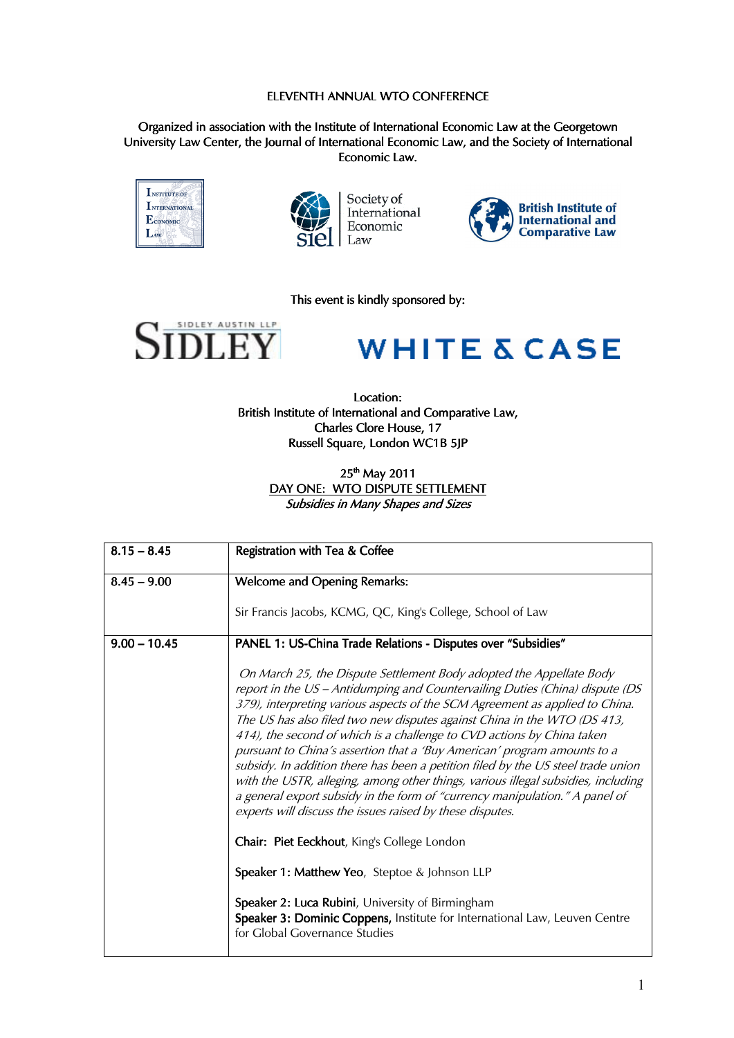## ELEVENTH ANNUAL WTO CONFERENCE

Organized in association with the Institute of International Economic Law at the Georgetown University Law Center, the Journal of International Economic Law, and the Society of International Economic Law, Economic Law.





Society of<br>International Economic Law



This event is kindly sponsored by:



## **WHITE & CASE**

Location: British Institute of International and Comparative Law, Charles Clore House, 17 Russell Square, London WC1B 5IP

> 25<sup>th</sup> May 2011 DAY ONE: WTO DISPUTE SETTLEMENT Subsidies in Many Shapes and Sizes

| $8.15 - 8.45$  | Registration with Tea & Coffee                                                                                                                                                                                                                                                                                                                                                                                                                                                                                                                                                                                                                                                                                                                                                             |
|----------------|--------------------------------------------------------------------------------------------------------------------------------------------------------------------------------------------------------------------------------------------------------------------------------------------------------------------------------------------------------------------------------------------------------------------------------------------------------------------------------------------------------------------------------------------------------------------------------------------------------------------------------------------------------------------------------------------------------------------------------------------------------------------------------------------|
| $8.45 - 9.00$  | <b>Welcome and Opening Remarks:</b>                                                                                                                                                                                                                                                                                                                                                                                                                                                                                                                                                                                                                                                                                                                                                        |
|                | Sir Francis Jacobs, KCMG, QC, King's College, School of Law                                                                                                                                                                                                                                                                                                                                                                                                                                                                                                                                                                                                                                                                                                                                |
| $9.00 - 10.45$ | PANEL 1: US-China Trade Relations - Disputes over "Subsidies"                                                                                                                                                                                                                                                                                                                                                                                                                                                                                                                                                                                                                                                                                                                              |
|                | On March 25, the Dispute Settlement Body adopted the Appellate Body<br>report in the US - Antidumping and Countervailing Duties (China) dispute (DS<br>379), interpreting various aspects of the SCM Agreement as applied to China.<br>The US has also filed two new disputes against China in the WTO (DS 413,<br>414), the second of which is a challenge to CVD actions by China taken<br>pursuant to China's assertion that a 'Buy American' program amounts to a<br>subsidy. In addition there has been a petition filed by the US steel trade union<br>with the USTR, alleging, among other things, various illegal subsidies, including<br>a general export subsidy in the form of "currency manipulation." A panel of<br>experts will discuss the issues raised by these disputes. |
|                | Chair: Piet Eeckhout, King's College London                                                                                                                                                                                                                                                                                                                                                                                                                                                                                                                                                                                                                                                                                                                                                |
|                | Speaker 1: Matthew Yeo, Steptoe & Johnson LLP                                                                                                                                                                                                                                                                                                                                                                                                                                                                                                                                                                                                                                                                                                                                              |
|                | Speaker 2: Luca Rubini, University of Birmingham<br>Speaker 3: Dominic Coppens, Institute for International Law, Leuven Centre<br>for Global Governance Studies                                                                                                                                                                                                                                                                                                                                                                                                                                                                                                                                                                                                                            |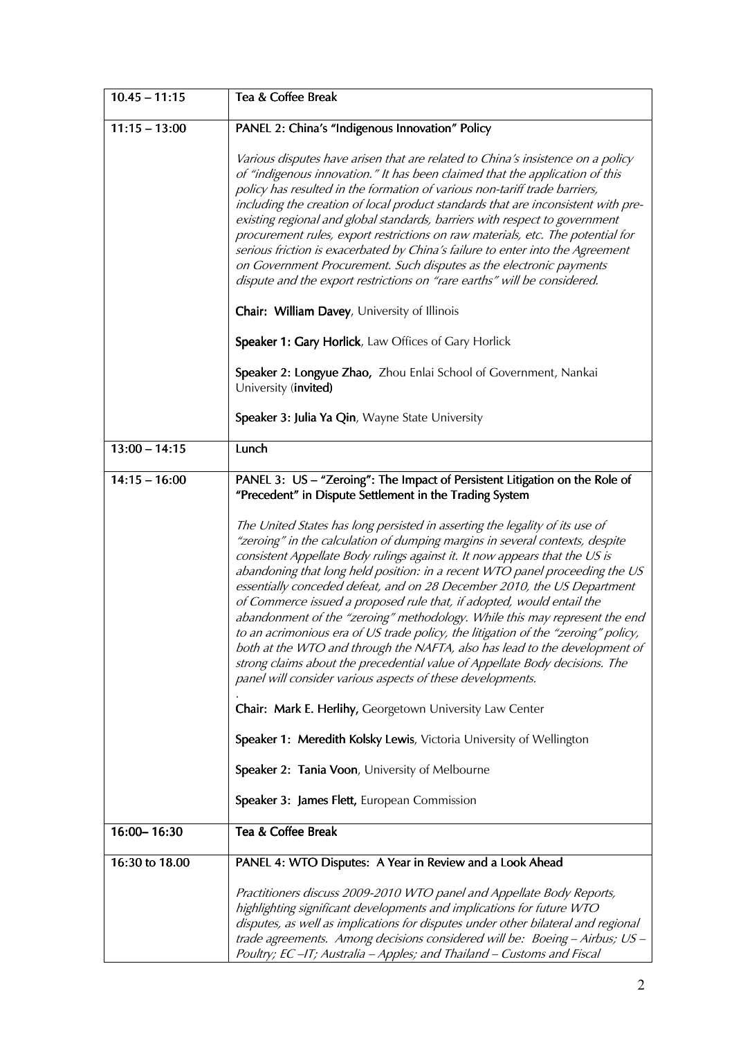| $10.45 - 11:15$ | Tea & Coffee Break                                                                                                                                                                                                                                                                                                                                                                                                                                                                                                                                                                                                                                                                                                                                                                                                                                                                                                                                                                                                                                                                                                                                                                                                                                         |
|-----------------|------------------------------------------------------------------------------------------------------------------------------------------------------------------------------------------------------------------------------------------------------------------------------------------------------------------------------------------------------------------------------------------------------------------------------------------------------------------------------------------------------------------------------------------------------------------------------------------------------------------------------------------------------------------------------------------------------------------------------------------------------------------------------------------------------------------------------------------------------------------------------------------------------------------------------------------------------------------------------------------------------------------------------------------------------------------------------------------------------------------------------------------------------------------------------------------------------------------------------------------------------------|
| $11:15 - 13:00$ | PANEL 2: China's "Indigenous Innovation" Policy                                                                                                                                                                                                                                                                                                                                                                                                                                                                                                                                                                                                                                                                                                                                                                                                                                                                                                                                                                                                                                                                                                                                                                                                            |
|                 | Various disputes have arisen that are related to China's insistence on a policy<br>of "indigenous innovation." It has been claimed that the application of this<br>policy has resulted in the formation of various non-tariff trade barriers,<br>including the creation of local product standards that are inconsistent with pre-<br>existing regional and global standards, barriers with respect to government<br>procurement rules, export restrictions on raw materials, etc. The potential for<br>serious friction is exacerbated by China's failure to enter into the Agreement<br>on Government Procurement. Such disputes as the electronic payments<br>dispute and the export restrictions on "rare earths" will be considered.                                                                                                                                                                                                                                                                                                                                                                                                                                                                                                                  |
|                 | Chair: William Davey, University of Illinois                                                                                                                                                                                                                                                                                                                                                                                                                                                                                                                                                                                                                                                                                                                                                                                                                                                                                                                                                                                                                                                                                                                                                                                                               |
|                 | Speaker 1: Gary Horlick, Law Offices of Gary Horlick                                                                                                                                                                                                                                                                                                                                                                                                                                                                                                                                                                                                                                                                                                                                                                                                                                                                                                                                                                                                                                                                                                                                                                                                       |
|                 | Speaker 2: Longyue Zhao, Zhou Enlai School of Government, Nankai<br>University (invited)                                                                                                                                                                                                                                                                                                                                                                                                                                                                                                                                                                                                                                                                                                                                                                                                                                                                                                                                                                                                                                                                                                                                                                   |
|                 | Speaker 3: Julia Ya Qin, Wayne State University                                                                                                                                                                                                                                                                                                                                                                                                                                                                                                                                                                                                                                                                                                                                                                                                                                                                                                                                                                                                                                                                                                                                                                                                            |
| $13:00 - 14:15$ | Lunch                                                                                                                                                                                                                                                                                                                                                                                                                                                                                                                                                                                                                                                                                                                                                                                                                                                                                                                                                                                                                                                                                                                                                                                                                                                      |
| $14:15 - 16:00$ | PANEL 3: US - "Zeroing": The Impact of Persistent Litigation on the Role of<br>"Precedent" in Dispute Settlement in the Trading System<br>The United States has long persisted in asserting the legality of its use of<br>"zeroing" in the calculation of dumping margins in several contexts, despite<br>consistent Appellate Body rulings against it. It now appears that the US is<br>abandoning that long held position: in a recent WTO panel proceeding the US<br>essentially conceded defeat, and on 28 December 2010, the US Department<br>of Commerce issued a proposed rule that, if adopted, would entail the<br>abandonment of the "zeroing" methodology. While this may represent the end<br>to an acrimonious era of US trade policy, the litigation of the "zeroing" policy,<br>both at the WTO and through the NAFTA, also has lead to the development of<br>strong claims about the precedential value of Appellate Body decisions. The<br>panel will consider various aspects of these developments.<br>Chair: Mark E. Herlihy, Georgetown University Law Center<br>Speaker 1: Meredith Kolsky Lewis, Victoria University of Wellington<br>Speaker 2: Tania Voon, University of Melbourne<br>Speaker 3: James Flett, European Commission |
| 16:00-16:30     | Tea & Coffee Break                                                                                                                                                                                                                                                                                                                                                                                                                                                                                                                                                                                                                                                                                                                                                                                                                                                                                                                                                                                                                                                                                                                                                                                                                                         |
| 16:30 to 18.00  | PANEL 4: WTO Disputes: A Year in Review and a Look Ahead                                                                                                                                                                                                                                                                                                                                                                                                                                                                                                                                                                                                                                                                                                                                                                                                                                                                                                                                                                                                                                                                                                                                                                                                   |
|                 | Practitioners discuss 2009-2010 WTO panel and Appellate Body Reports,<br>highlighting significant developments and implications for future WTO<br>disputes, as well as implications for disputes under other bilateral and regional<br>trade agreements. Among decisions considered will be: Boeing - Airbus; US -<br>Poultry; EC-IT; Australia - Apples; and Thailand - Customs and Fiscal                                                                                                                                                                                                                                                                                                                                                                                                                                                                                                                                                                                                                                                                                                                                                                                                                                                                |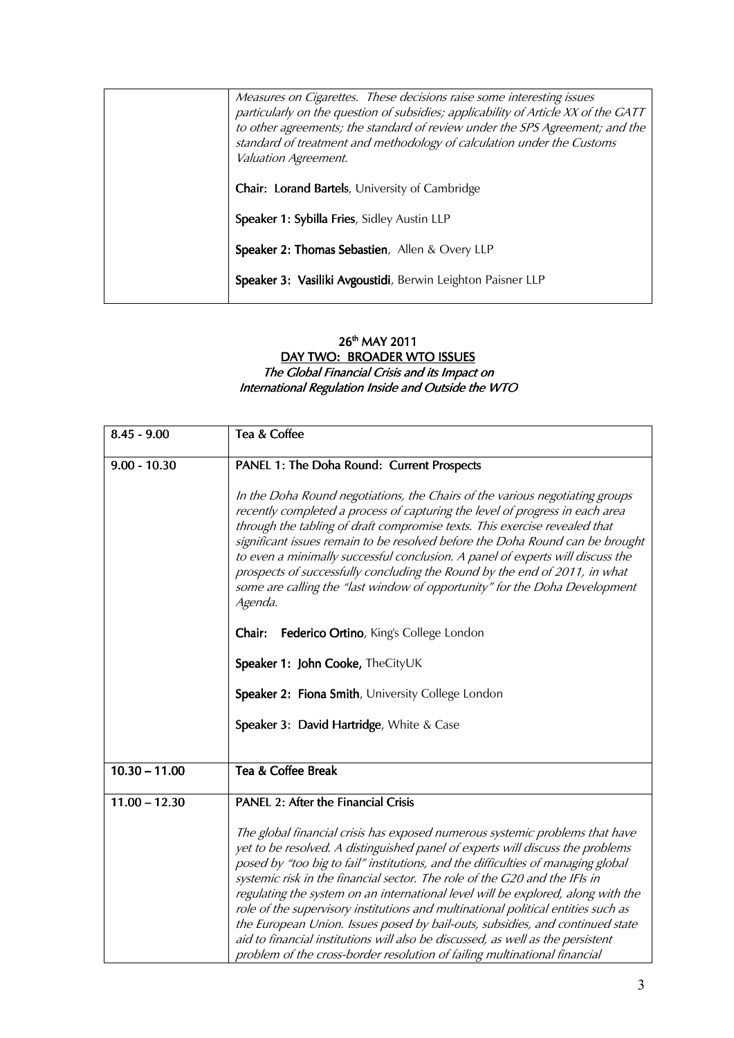| Measures on Cigarettes. These decisions raise some interesting issues<br>particularly on the question of subsidies; applicability of Article XX of the GATT<br>to other agreements; the standard of review under the SPS Agreement; and the<br>standard of treatment and methodology of calculation under the Customs<br>Valuation Agreement. |
|-----------------------------------------------------------------------------------------------------------------------------------------------------------------------------------------------------------------------------------------------------------------------------------------------------------------------------------------------|
| <b>Chair: Lorand Bartels, University of Cambridge</b>                                                                                                                                                                                                                                                                                         |
| Speaker 1: Sybilla Fries, Sidley Austin LLP                                                                                                                                                                                                                                                                                                   |
| Speaker 2: Thomas Sebastien, Allen & Overy LLP                                                                                                                                                                                                                                                                                                |
| Speaker 3: Vasiliki Avgoustidi, Berwin Leighton Paisner LLP                                                                                                                                                                                                                                                                                   |

## $26^{\text{th}}$  MAY 2011

## <u>DAY TWO: BROADER WTO ISSUES</u> The Global Financial Crisis and its Impact on International Regulation Inside and Outside the WTO

| $8.45 - 9.00$   | Tea & Coffee                                                                                                                                                                                                                                                                                                                                                                                                                                                                                                                                                                                                                                                                                                                                               |
|-----------------|------------------------------------------------------------------------------------------------------------------------------------------------------------------------------------------------------------------------------------------------------------------------------------------------------------------------------------------------------------------------------------------------------------------------------------------------------------------------------------------------------------------------------------------------------------------------------------------------------------------------------------------------------------------------------------------------------------------------------------------------------------|
| $9.00 - 10.30$  | PANEL 1: The Doha Round: Current Prospects                                                                                                                                                                                                                                                                                                                                                                                                                                                                                                                                                                                                                                                                                                                 |
|                 | In the Doha Round negotiations, the Chairs of the various negotiating groups<br>recently completed a process of capturing the level of progress in each area<br>through the tabling of draft compromise texts. This exercise revealed that<br>significant issues remain to be resolved before the Doha Round can be brought<br>to even a minimally successful conclusion. A panel of experts will discuss the<br>prospects of successfully concluding the Round by the end of 2011, in what<br>some are calling the "last window of opportunity" for the Doha Development<br>Agenda.                                                                                                                                                                       |
|                 | Federico Ortino, King's College London<br>Chair:                                                                                                                                                                                                                                                                                                                                                                                                                                                                                                                                                                                                                                                                                                           |
|                 | Speaker 1: John Cooke, TheCityUK                                                                                                                                                                                                                                                                                                                                                                                                                                                                                                                                                                                                                                                                                                                           |
|                 | Speaker 2: Fiona Smith, University College London                                                                                                                                                                                                                                                                                                                                                                                                                                                                                                                                                                                                                                                                                                          |
|                 | Speaker 3: David Hartridge, White & Case                                                                                                                                                                                                                                                                                                                                                                                                                                                                                                                                                                                                                                                                                                                   |
| $10.30 - 11.00$ | Tea & Coffee Break                                                                                                                                                                                                                                                                                                                                                                                                                                                                                                                                                                                                                                                                                                                                         |
| $11.00 - 12.30$ | <b>PANEL 2: After the Financial Crisis</b>                                                                                                                                                                                                                                                                                                                                                                                                                                                                                                                                                                                                                                                                                                                 |
|                 | The global financial crisis has exposed numerous systemic problems that have<br>yet to be resolved. A distinguished panel of experts will discuss the problems<br>posed by "too big to fail" institutions, and the difficulties of managing global<br>systemic risk in the financial sector. The role of the G20 and the IFIs in<br>regulating the system on an international level will be explored, along with the<br>role of the supervisory institutions and multinational political entities such as<br>the European Union. Issues posed by bail-outs, subsidies, and continued state<br>aid to financial institutions will also be discussed, as well as the persistent<br>problem of the cross-border resolution of failing multinational financial |